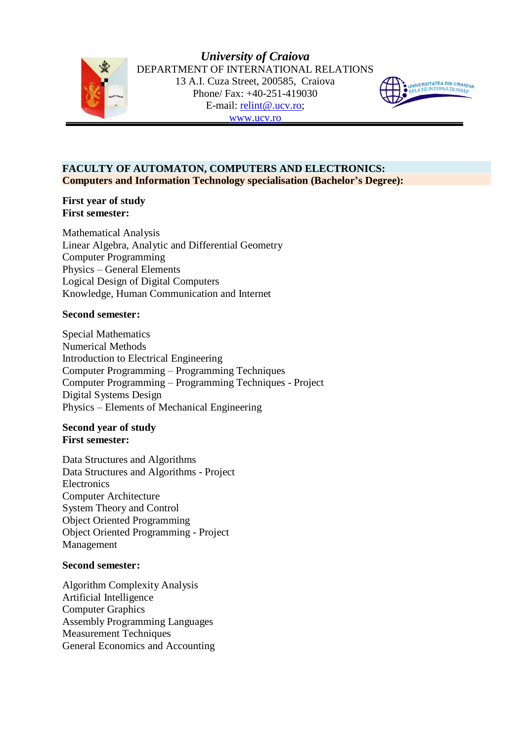



# **FACULTY OF AUTOMATON, COMPUTERS AND ELECTRONICS: Computers and Information Technology specialisation (Bachelor's Degree):**

## **First year of study First semester:**

Mathematical Analysis Linear Algebra, Analytic and Differential Geometry Computer Programming Physics – General Elements Logical Design of Digital Computers Knowledge, Human Communication and Internet

# **Second semester:**

Special Mathematics Numerical Methods Introduction to Electrical Engineering Computer Programming – Programming Techniques Computer Programming – Programming Techniques - Project Digital Systems Design Physics – Elements of Mechanical Engineering

## **Second year of study First semester:**

Data Structures and Algorithms Data Structures and Algorithms - Project **Electronics** Computer Architecture System Theory and Control Object Oriented Programming Object Oriented Programming - Project Management

# **Second semester:**

Algorithm Complexity Analysis Artificial Intelligence Computer Graphics Assembly Programming Languages Measurement Techniques General Economics and Accounting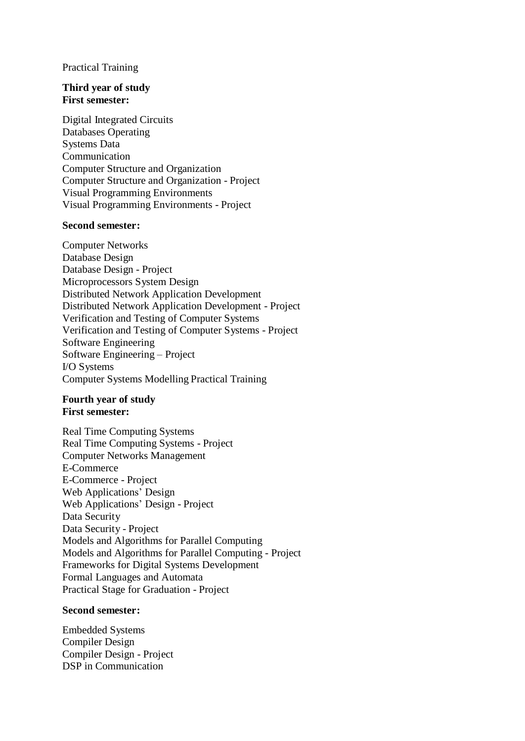#### Practical Training

#### **Third year of study First semester:**

Digital Integrated Circuits Databases Operating Systems Data Communication Computer Structure and Organization Computer Structure and Organization - Project Visual Programming Environments Visual Programming Environments - Project

#### **Second semester:**

Computer Networks Database Design Database Design - Project Microprocessors System Design Distributed Network Application Development Distributed Network Application Development - Project Verification and Testing of Computer Systems Verification and Testing of Computer Systems - Project Software Engineering Software Engineering – Project I/O Systems Computer Systems Modelling Practical Training

#### **Fourth year of study First semester:**

Real Time Computing Systems Real Time Computing Systems - Project Computer Networks Management E-Commerce E-Commerce - Project Web Applications' Design Web Applications' Design - Project Data Security Data Security - Project Models and Algorithms for Parallel Computing Models and Algorithms for Parallel Computing - Project Frameworks for Digital Systems Development Formal Languages and Automata Practical Stage for Graduation - Project

## **Second semester:**

Embedded Systems Compiler Design Compiler Design - Project DSP in Communication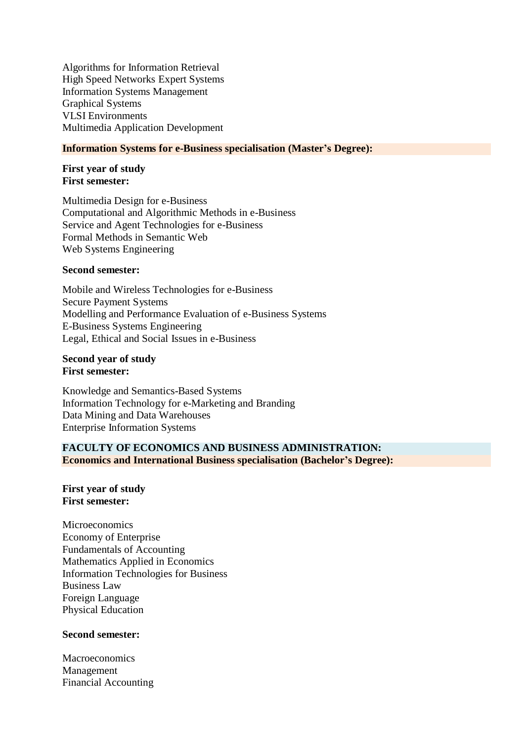Algorithms for Information Retrieval High Speed Networks Expert Systems Information Systems Management Graphical Systems VLSI Environments Multimedia Application Development

#### **Information Systems for e-Business specialisation (Master's Degree):**

#### **First year of study First semester:**

Multimedia Design for e-Business Computational and Algorithmic Methods in e-Business Service and Agent Technologies for e-Business Formal Methods in Semantic Web Web Systems Engineering

#### **Second semester:**

Mobile and Wireless Technologies for e-Business Secure Payment Systems Modelling and Performance Evaluation of e-Business Systems E-Business Systems Engineering Legal, Ethical and Social Issues in e-Business

**Second year of study First semester:**

Knowledge and Semantics-Based Systems Information Technology for e-Marketing and Branding Data Mining and Data Warehouses Enterprise Information Systems

# **FACULTY OF ECONOMICS AND BUSINESS ADMINISTRATION: Economics and International Business specialisation (Bachelor's Degree):**

**First year of study First semester:**

Microeconomics Economy of Enterprise Fundamentals of Accounting Mathematics Applied in Economics Information Technologies for Business Business Law Foreign Language Physical Education

## **Second semester:**

Macroeconomics Management Financial Accounting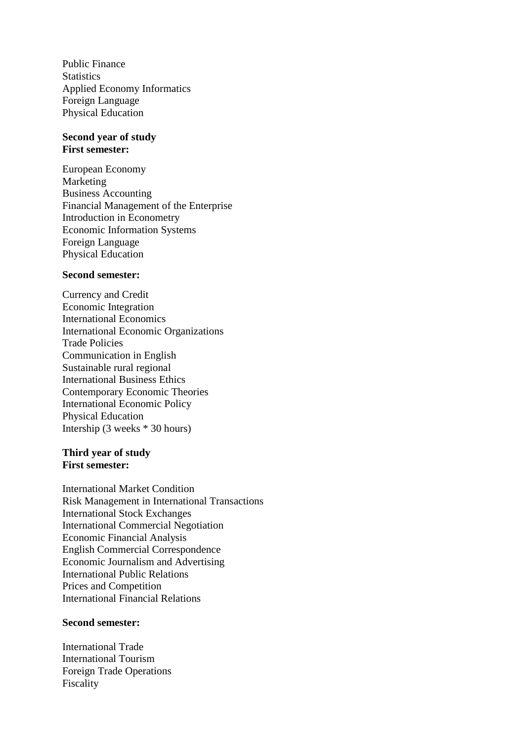Public Finance **Statistics** Applied Economy Informatics Foreign Language Physical Education

# **Second year of study First semester:**

European Economy Marketing Business Accounting Financial Management of the Enterprise Introduction in Econometry Economic Information Systems Foreign Language Physical Education

### **Second semester:**

Currency and Credit Economic Integration International Economics International Economic Organizations Trade Policies Communication in English Sustainable rural regional International Business Ethics Contemporary Economic Theories International Economic Policy Physical Education Intership (3 weeks \* 30 hours)

# **Third year of study First semester:**

International Market Condition Risk Management in International Transactions International Stock Exchanges International Commercial Negotiation Economic Financial Analysis English Commercial Correspondence Economic Journalism and Advertising International Public Relations Prices and Competition International Financial Relations

#### **Second semester:**

International Trade International Tourism Foreign Trade Operations Fiscality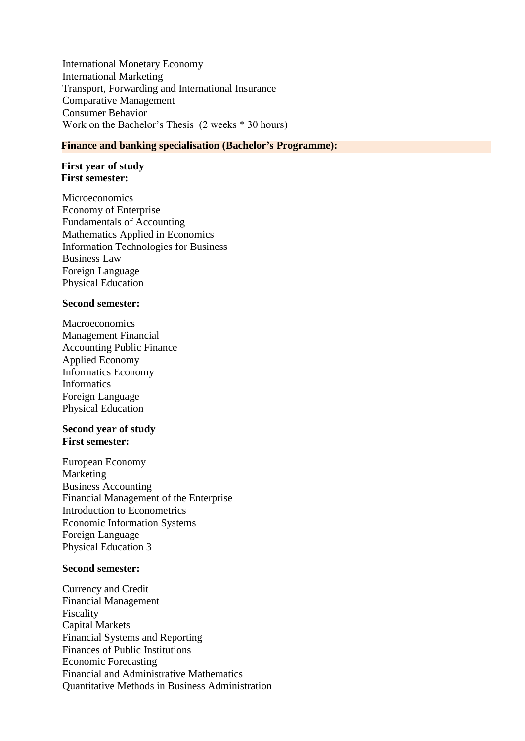International Monetary Economy International Marketing Transport, Forwarding and International Insurance Comparative Management Consumer Behavior Work on the Bachelor's Thesis (2 weeks \* 30 hours)

## **Finance and banking specialisation (Bachelor's Programme):**

#### **First year of study First semester:**

**Microeconomics** Economy of Enterprise Fundamentals of Accounting Mathematics Applied in Economics Information Technologies for Business Business Law Foreign Language Physical Education

#### **Second semester:**

Macroeconomics Management Financial Accounting Public Finance Applied Economy Informatics Economy Informatics Foreign Language Physical Education

### **Second year of study First semester:**

European Economy Marketing Business Accounting Financial Management of the Enterprise Introduction to Econometrics Economic Information Systems Foreign Language Physical Education 3

#### **Second semester:**

Currency and Credit Financial Management Fiscality Capital Markets Financial Systems and Reporting Finances of Public Institutions Economic Forecasting Financial and Administrative Mathematics Quantitative Methods in Business Administration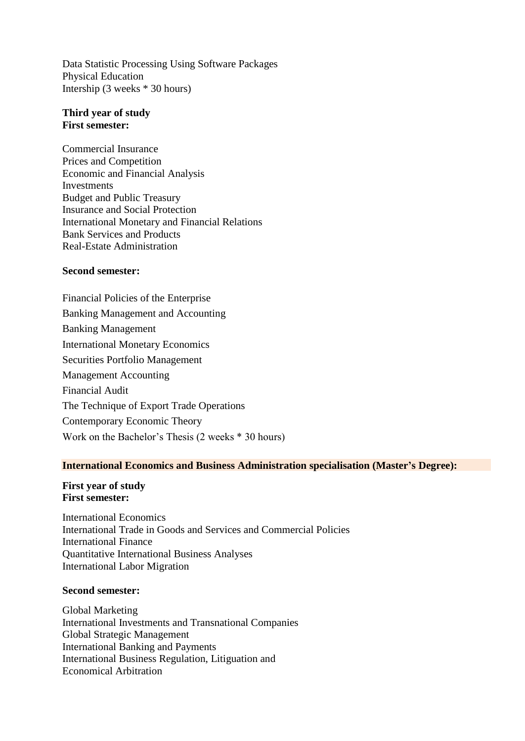Data Statistic Processing Using Software Packages Physical Education Intership (3 weeks \* 30 hours)

## **Third year of study First semester:**

Commercial Insurance Prices and Competition Economic and Financial Analysis Investments Budget and Public Treasury Insurance and Social Protection International Monetary and Financial Relations Bank Services and Products Real-Estate Administration

## **Second semester:**

Financial Policies of the Enterprise Banking Management and Accounting Banking Management International Monetary Economics Securities Portfolio Management Management Accounting Financial Audit The Technique of Export Trade Operations Contemporary Economic Theory Work on the Bachelor's Thesis (2 weeks \* 30 hours)

#### **International Economics and Business Administration specialisation (Master's Degree):**

#### **First year of study First semester:**

International Economics International Trade in Goods and Services and Commercial Policies International Finance Quantitative International Business Analyses International Labor Migration

#### **Second semester:**

Global Marketing International Investments and Transnational Companies Global Strategic Management International Banking and Payments International Business Regulation, Litiguation and Economical Arbitration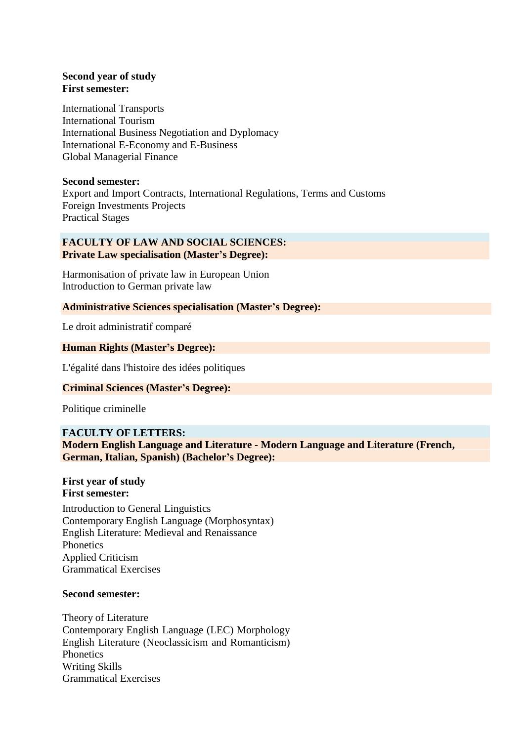# **Second year of study First semester:**

International Transports International Tourism International Business Negotiation and Dyplomacy International E-Economy and E-Business Global Managerial Finance

## **Second semester:**

Export and Import Contracts, International Regulations, Terms and Customs Foreign Investments Projects Practical Stages

## **FACULTY OF LAW AND SOCIAL SCIENCES: Private Law specialisation (Master's Degree):**

Harmonisation of private law in European Union Introduction to German private law

# **Administrative Sciences specialisation (Master's Degree):**

Le droit administratif comparé

# **Human Rights (Master's Degree):**

L'égalité dans l'histoire des idées politiques

# **Criminal Sciences (Master's Degree):**

Politique criminelle

# **FACULTY OF LETTERS:**

**Modern English Language and Literature - Modern Language and Literature (French, German, Italian, Spanish) (Bachelor's Degree):**

#### **First year of study First semester:**

Introduction to General Linguistics Contemporary English Language (Morphosyntax) English Literature: Medieval and Renaissance **Phonetics** Applied Criticism Grammatical Exercises

## **Second semester:**

Theory of Literature Contemporary English Language (LEC) Morphology English Literature (Neoclassicism and Romanticism) **Phonetics** Writing Skills Grammatical Exercises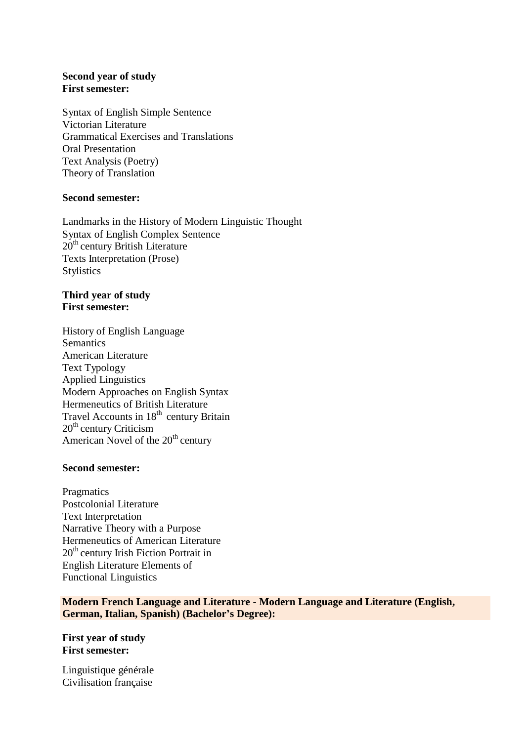# **Second year of study First semester:**

Syntax of English Simple Sentence Victorian Literature Grammatical Exercises and Translations Oral Presentation Text Analysis (Poetry) Theory of Translation

## **Second semester:**

Landmarks in the History of Modern Linguistic Thought Syntax of English Complex Sentence 20<sup>th</sup> century British Literature Texts Interpretation (Prose) Stylistics

# **Third year of study First semester:**

History of English Language **Semantics** American Literature Text Typology Applied Linguistics Modern Approaches on English Syntax Hermeneutics of British Literature Travel Accounts in 18<sup>th</sup> century Britain 20<sup>th</sup> century Criticism American Novel of the 20<sup>th</sup> century

# **Second semester:**

**Pragmatics** Postcolonial Literature Text Interpretation Narrative Theory with a Purpose Hermeneutics of American Literature 20<sup>th</sup> century Irish Fiction Portrait in English Literature Elements of Functional Linguistics

**Modern French Language and Literature - Modern Language and Literature (English, German, Italian, Spanish) (Bachelor's Degree):**

**First year of study First semester:**

Linguistique générale Civilisation française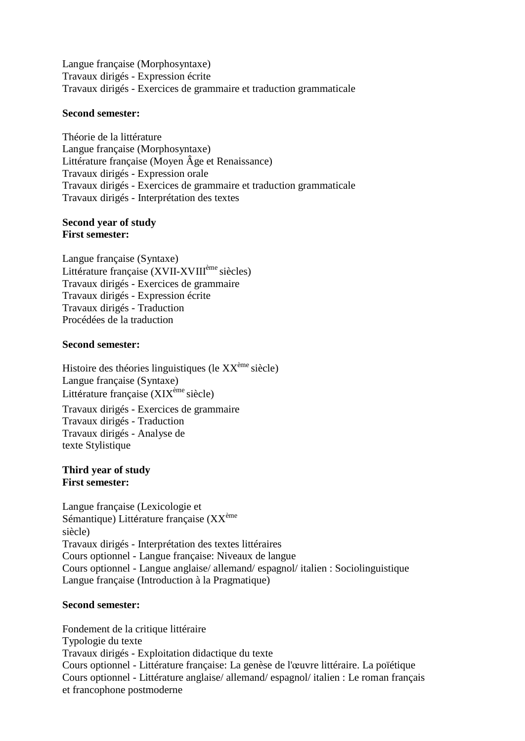Langue française (Morphosyntaxe) Travaux dirigés - Expression écrite Travaux dirigés - Exercices de grammaire et traduction grammaticale

#### **Second semester:**

Théorie de la littérature Langue française (Morphosyntaxe) Littérature française (Moyen Âge et Renaissance) Travaux dirigés - Expression orale Travaux dirigés - Exercices de grammaire et traduction grammaticale Travaux dirigés - Interprétation des textes

#### **Second year of study First semester:**

Langue française (Syntaxe) Littérature française (XVII-XVIII<sup>ème</sup> siècles) Travaux dirigés - Exercices de grammaire Travaux dirigés - Expression écrite Travaux dirigés - Traduction Procédées de la traduction

## **Second semester:**

Histoire des théories linguistiques (le XX<sup>ème</sup> siècle) Langue française (Syntaxe) Littérature française (XIX<sup>ème</sup> siècle) Travaux dirigés - Exercices de grammaire Travaux dirigés - Traduction Travaux dirigés - Analyse de texte Stylistique

#### **Third year of study First semester:**

Langue française (Lexicologie et Sémantique) Littérature française (XX<sup>ème</sup> siècle) Travaux dirigés - Interprétation des textes littéraires Cours optionnel - Langue française: Niveaux de langue Cours optionnel - Langue anglaise/ allemand/ espagnol/ italien : Sociolinguistique Langue française (Introduction à la Pragmatique)

## **Second semester:**

Fondement de la critique littéraire Typologie du texte Travaux dirigés - Exploitation didactique du texte Cours optionnel - Littérature française: La genèse de l'œuvre littéraire. La poïétique Cours optionnel - Littérature anglaise/ allemand/ espagnol/ italien : Le roman français et francophone postmoderne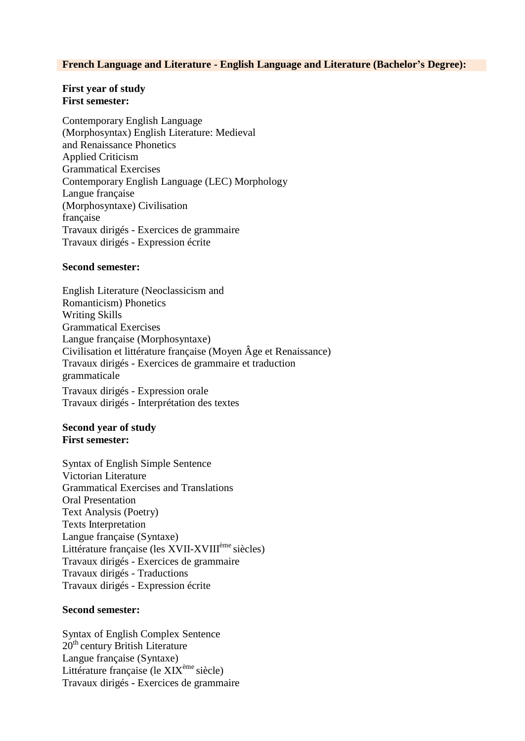#### **French Language and Literature - English Language and Literature (Bachelor's Degree):**

#### **First year of study First semester:**

Contemporary English Language (Morphosyntax) English Literature: Medieval and Renaissance Phonetics Applied Criticism Grammatical Exercises Contemporary English Language (LEC) Morphology Langue française (Morphosyntaxe) Civilisation française Travaux dirigés - Exercices de grammaire Travaux dirigés - Expression écrite

#### **Second semester:**

English Literature (Neoclassicism and Romanticism) Phonetics Writing Skills Grammatical Exercises Langue française (Morphosyntaxe) Civilisation et littérature française (Moyen Âge et Renaissance) Travaux dirigés - Exercices de grammaire et traduction grammaticale Travaux dirigés - Expression orale Travaux dirigés - Interprétation des textes

### **Second year of study First semester:**

Syntax of English Simple Sentence Victorian Literature Grammatical Exercises and Translations Oral Presentation Text Analysis (Poetry) Texts Interpretation Langue française (Syntaxe) Littérature française (les XVII-XVIII<sup>ème</sup> siècles) Travaux dirigés - Exercices de grammaire Travaux dirigés - Traductions Travaux dirigés - Expression écrite

#### **Second semester:**

Syntax of English Complex Sentence 20<sup>th</sup> century British Literature Langue française (Syntaxe) Littérature française (le XIX<sup>ème</sup> siècle) Travaux dirigés - Exercices de grammaire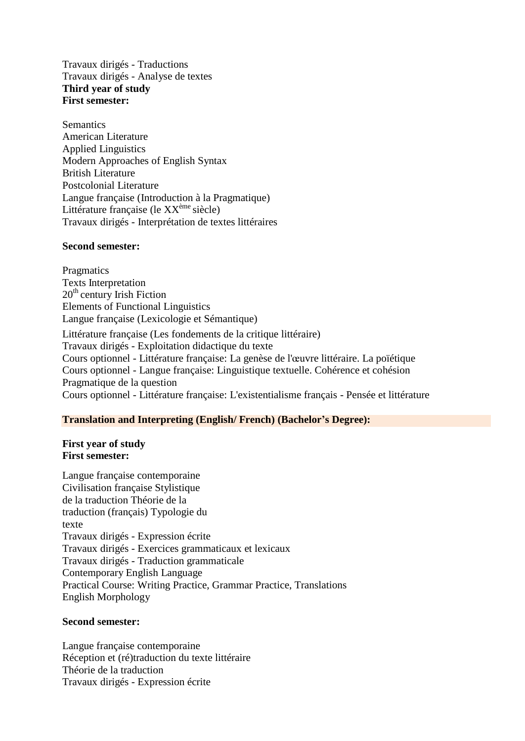Travaux dirigés - Traductions Travaux dirigés - Analyse de textes **Third year of study First semester:**

**Semantics** American Literature Applied Linguistics Modern Approaches of English Syntax British Literature Postcolonial Literature Langue française (Introduction à la Pragmatique) Littérature française (le XX<sup>ème</sup> siècle) Travaux dirigés - Interprétation de textes littéraires

#### **Second semester:**

**Pragmatics** Texts Interpretation 20<sup>th</sup> century Irish Fiction Elements of Functional Linguistics Langue française (Lexicologie et Sémantique) Littérature française (Les fondements de la critique littéraire) Travaux dirigés - Exploitation didactique du texte Cours optionnel - Littérature française: La genèse de l'œuvre littéraire. La poïétique Cours optionnel - Langue française: Linguistique textuelle. Cohérence et cohésion Pragmatique de la question Cours optionnel - Littérature française: L'existentialisme français - Pensée et littérature

## **Translation and Interpreting (English/ French) (Bachelor's Degree):**

## **First year of study First semester:**

Langue française contemporaine Civilisation française Stylistique de la traduction Théorie de la traduction (français) Typologie du texte Travaux dirigés - Expression écrite Travaux dirigés - Exercices grammaticaux et lexicaux Travaux dirigés - Traduction grammaticale Contemporary English Language Practical Course: Writing Practice, Grammar Practice, Translations English Morphology

## **Second semester:**

Langue française contemporaine Réception et (ré)traduction du texte littéraire Théorie de la traduction Travaux dirigés - Expression écrite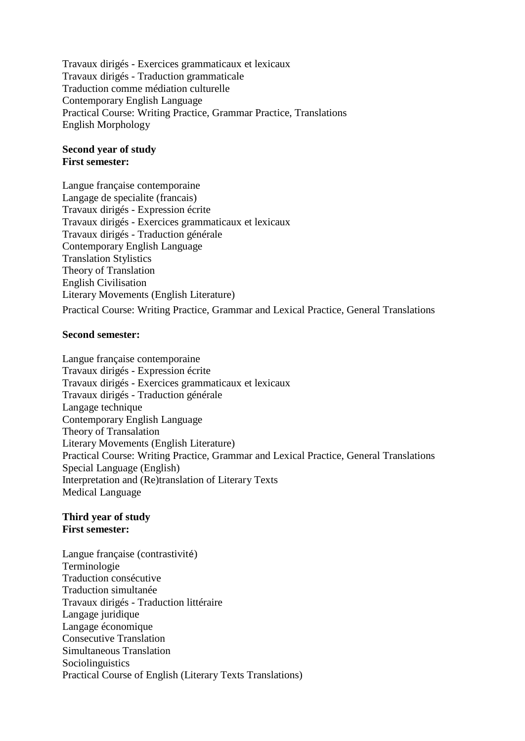Travaux dirigés - Exercices grammaticaux et lexicaux Travaux dirigés - Traduction grammaticale Traduction comme médiation culturelle Contemporary English Language Practical Course: Writing Practice, Grammar Practice, Translations English Morphology

## **Second year of study First semester:**

Langue française contemporaine Langage de specialite (francais) Travaux dirigés - Expression écrite Travaux dirigés - Exercices grammaticaux et lexicaux Travaux dirigés - Traduction générale Contemporary English Language Translation Stylistics Theory of Translation English Civilisation Literary Movements (English Literature) Practical Course: Writing Practice, Grammar and Lexical Practice, General Translations

## **Second semester:**

Langue française contemporaine Travaux dirigés - Expression écrite Travaux dirigés - Exercices grammaticaux et lexicaux Travaux dirigés - Traduction générale Langage technique Contemporary English Language Theory of Transalation Literary Movements (English Literature) Practical Course: Writing Practice, Grammar and Lexical Practice, General Translations Special Language (English) Interpretation and (Re)translation of Literary Texts Medical Language

### **Third year of study First semester:**

Langue française (contrastivité) Terminologie Traduction consécutive Traduction simultanée Travaux dirigés - Traduction littéraire Langage juridique Langage économique Consecutive Translation Simultaneous Translation **Sociolinguistics** Practical Course of English (Literary Texts Translations)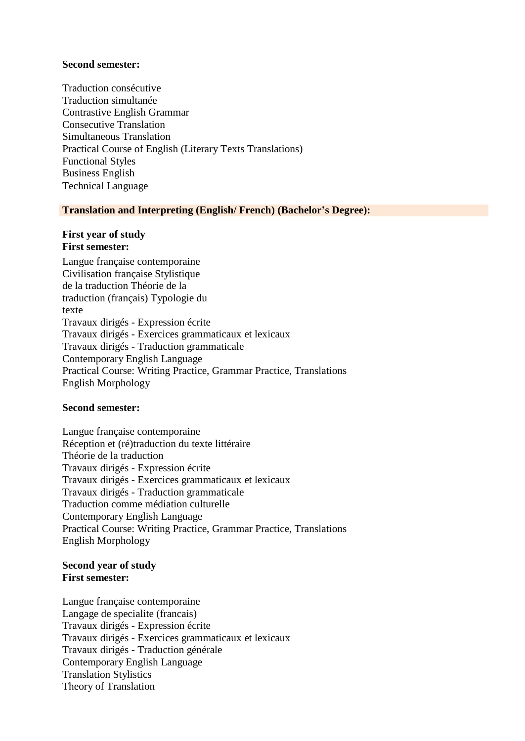#### **Second semester:**

Traduction consécutive Traduction simultanée Contrastive English Grammar Consecutive Translation Simultaneous Translation Practical Course of English (Literary Texts Translations) Functional Styles Business English Technical Language

## **Translation and Interpreting (English/ French) (Bachelor's Degree):**

## **First year of study First semester:**

Langue française contemporaine Civilisation française Stylistique de la traduction Théorie de la traduction (français) Typologie du texte Travaux dirigés - Expression écrite Travaux dirigés - Exercices grammaticaux et lexicaux Travaux dirigés - Traduction grammaticale Contemporary English Language Practical Course: Writing Practice, Grammar Practice, Translations English Morphology

## **Second semester:**

Langue française contemporaine Réception et (ré)traduction du texte littéraire Théorie de la traduction Travaux dirigés - Expression écrite Travaux dirigés - Exercices grammaticaux et lexicaux Travaux dirigés - Traduction grammaticale Traduction comme médiation culturelle Contemporary English Language Practical Course: Writing Practice, Grammar Practice, Translations English Morphology

## **Second year of study First semester:**

Langue française contemporaine Langage de specialite (francais) Travaux dirigés - Expression écrite Travaux dirigés - Exercices grammaticaux et lexicaux Travaux dirigés - Traduction générale Contemporary English Language Translation Stylistics Theory of Translation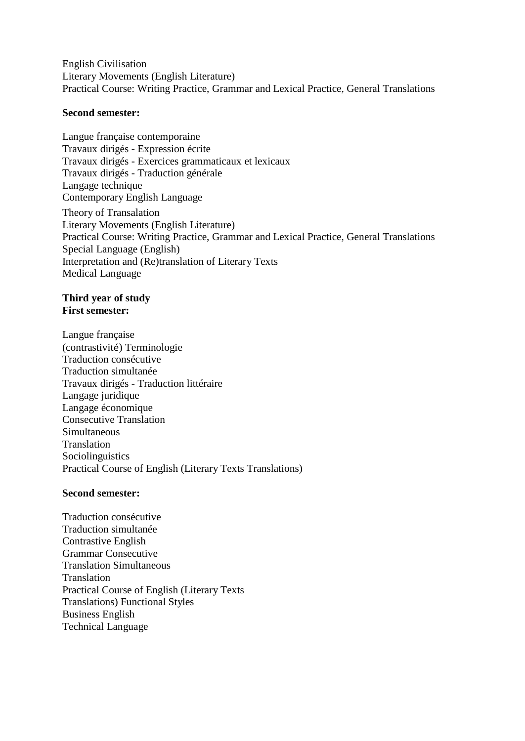English Civilisation Literary Movements (English Literature) Practical Course: Writing Practice, Grammar and Lexical Practice, General Translations

### **Second semester:**

Langue française contemporaine Travaux dirigés - Expression écrite Travaux dirigés - Exercices grammaticaux et lexicaux Travaux dirigés - Traduction générale Langage technique Contemporary English Language Theory of Transalation Literary Movements (English Literature) Practical Course: Writing Practice, Grammar and Lexical Practice, General Translations Special Language (English) Interpretation and (Re)translation of Literary Texts Medical Language

#### **Third year of study First semester:**

Langue française (contrastivité) Terminologie Traduction consécutive Traduction simultanée Travaux dirigés - Traduction littéraire Langage juridique Langage économique Consecutive Translation Simultaneous Translation Sociolinguistics Practical Course of English (Literary Texts Translations)

## **Second semester:**

Traduction consécutive Traduction simultanée Contrastive English Grammar Consecutive Translation Simultaneous Translation Practical Course of English (Literary Texts Translations) Functional Styles Business English Technical Language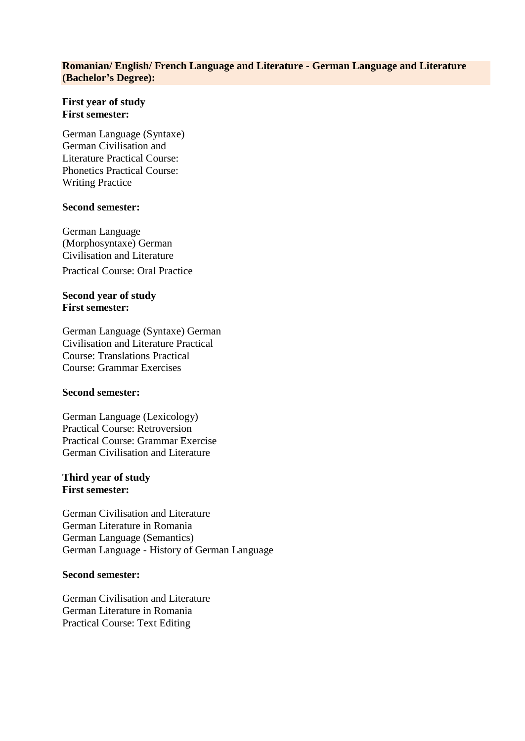## **Romanian/ English/ French Language and Literature - German Language and Literature (Bachelor's Degree):**

## **First year of study First semester:**

German Language (Syntaxe) German Civilisation and Literature Practical Course: Phonetics Practical Course: Writing Practice

### **Second semester:**

German Language (Morphosyntaxe) German Civilisation and Literature

Practical Course: Oral Practice

# **Second year of study First semester:**

German Language (Syntaxe) German Civilisation and Literature Practical Course: Translations Practical Course: Grammar Exercises

## **Second semester:**

German Language (Lexicology) Practical Course: Retroversion Practical Course: Grammar Exercise German Civilisation and Literature

## **Third year of study First semester:**

German Civilisation and Literature German Literature in Romania German Language (Semantics) German Language - History of German Language

# **Second semester:**

German Civilisation and Literature German Literature in Romania Practical Course: Text Editing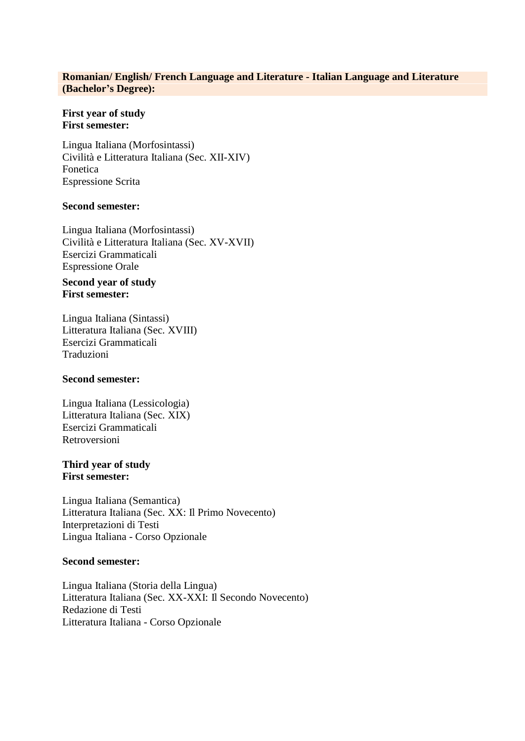### **Romanian/ English/ French Language and Literature - Italian Language and Literature (Bachelor's Degree):**

#### **First year of study First semester:**

Lingua Italiana (Morfosintassi) Civilità e Litteratura Italiana (Sec. XII-XIV) Fonetica Espressione Scrita

## **Second semester:**

Lingua Italiana (Morfosintassi) Civilità e Litteratura Italiana (Sec. XV-XVII) Esercizi Grammaticali Espressione Orale

## **Second year of study First semester:**

Lingua Italiana (Sintassi) Litteratura Italiana (Sec. XVIII) Esercizi Grammaticali Traduzioni

#### **Second semester:**

Lingua Italiana (Lessicologia) Litteratura Italiana (Sec. XIX) Esercizi Grammaticali Retroversioni

#### **Third year of study First semester:**

Lingua Italiana (Semantica) Litteratura Italiana (Sec. XX: Il Primo Novecento) Interpretazioni di Testi Lingua Italiana - Corso Opzionale

#### **Second semester:**

Lingua Italiana (Storia della Lingua) Litteratura Italiana (Sec. XX-XXI: Il Secondo Novecento) Redazione di Testi Litteratura Italiana - Corso Opzionale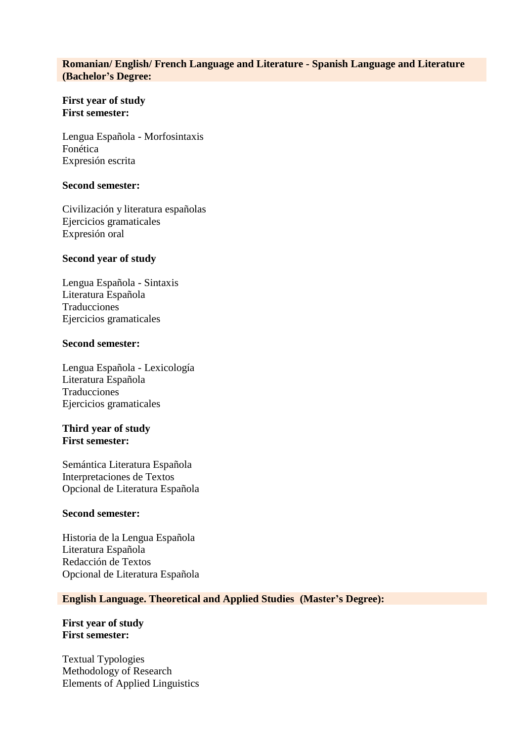# **Romanian/ English/ French Language and Literature - Spanish Language and Literature (Bachelor's Degree:**

## **First year of study First semester:**

Lengua Española - Morfosintaxis Fonética Expresión escrita

#### **Second semester:**

Civilización y literatura españolas Ejercicios gramaticales Expresión oral

## **Second year of study**

Lengua Española - Sintaxis Literatura Española Traducciones Ejercicios gramaticales

### **Second semester:**

Lengua Española - Lexicología Literatura Española Traducciones Ejercicios gramaticales

## **Third year of study First semester:**

Semántica Literatura Española Interpretaciones de Textos Opcional de Literatura Española

#### **Second semester:**

Historia de la Lengua Española Literatura Española Redacción de Textos Opcional de Literatura Española

## **English Language. Theoretical and Applied Studies (Master's Degree):**

**First year of study First semester:**

Textual Typologies Methodology of Research Elements of Applied Linguistics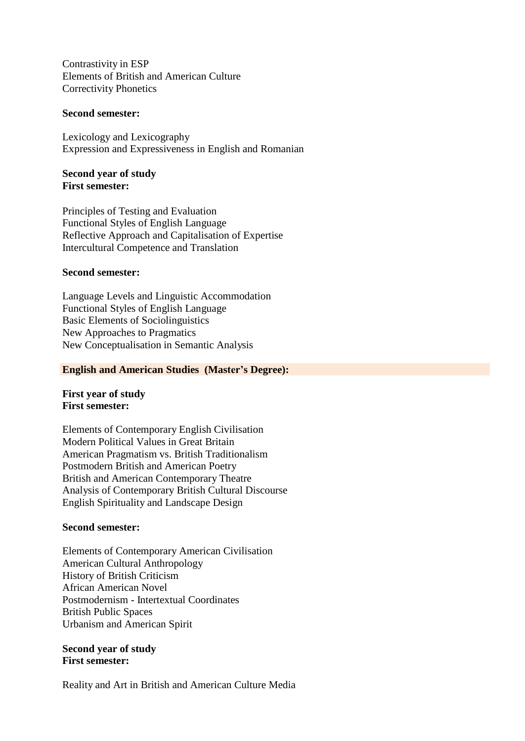Contrastivity in ESP Elements of British and American Culture Correctivity Phonetics

#### **Second semester:**

Lexicology and Lexicography Expression and Expressiveness in English and Romanian

#### **Second year of study First semester:**

Principles of Testing and Evaluation Functional Styles of English Language Reflective Approach and Capitalisation of Expertise Intercultural Competence and Translation

## **Second semester:**

Language Levels and Linguistic Accommodation Functional Styles of English Language Basic Elements of Sociolinguistics New Approaches to Pragmatics New Conceptualisation in Semantic Analysis

#### **English and American Studies (Master's Degree):**

## **First year of study First semester:**

Elements of Contemporary English Civilisation Modern Political Values in Great Britain American Pragmatism vs. British Traditionalism Postmodern British and American Poetry British and American Contemporary Theatre Analysis of Contemporary British Cultural Discourse English Spirituality and Landscape Design

## **Second semester:**

Elements of Contemporary American Civilisation American Cultural Anthropology History of British Criticism African American Novel Postmodernism - Intertextual Coordinates British Public Spaces Urbanism and American Spirit

## **Second year of study First semester:**

Reality and Art in British and American Culture Media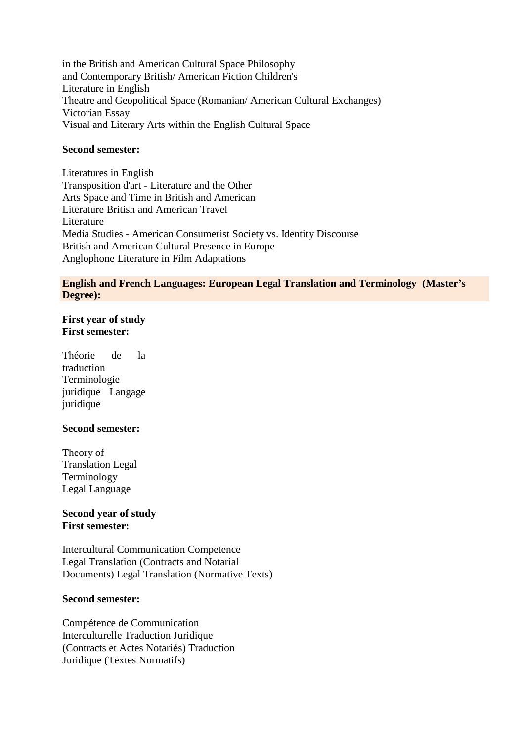in the British and American Cultural Space Philosophy and Contemporary British/ American Fiction Children's Literature in English Theatre and Geopolitical Space (Romanian/ American Cultural Exchanges) Victorian Essay Visual and Literary Arts within the English Cultural Space

## **Second semester:**

Literatures in English Transposition d'art - Literature and the Other Arts Space and Time in British and American Literature British and American Travel Literature Media Studies - American Consumerist Society vs. Identity Discourse British and American Cultural Presence in Europe Anglophone Literature in Film Adaptations

#### **English and French Languages: European Legal Translation and Terminology (Master's Degree):**

# **First year of study First semester:**

Théorie de la traduction Terminologie juridique Langage juridique

## **Second semester:**

Theory of Translation Legal Terminology Legal Language

## **Second year of study First semester:**

Intercultural Communication Competence Legal Translation (Contracts and Notarial Documents) Legal Translation (Normative Texts)

#### **Second semester:**

Compétence de Communication Interculturelle Traduction Juridique (Contracts et Actes Notariés) Traduction Juridique (Textes Normatifs)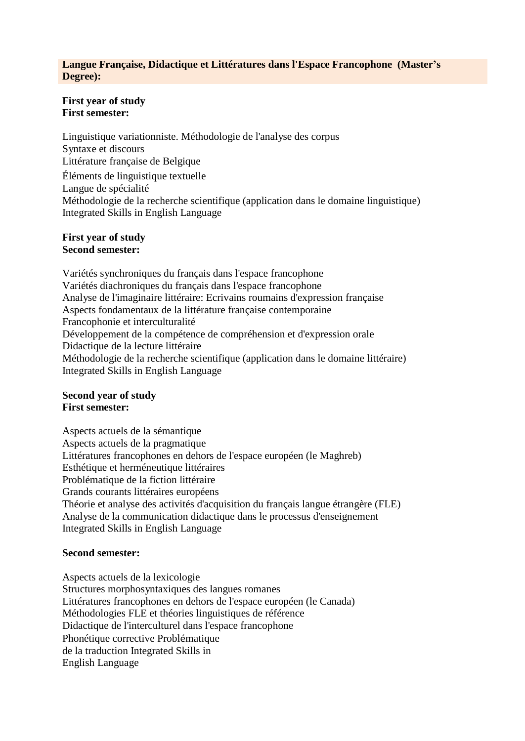### **Langue Française, Didactique et Littératures dans l'Espace Francophone (Master's Degree):**

#### **First year of study First semester:**

Linguistique variationniste. Méthodologie de l'analyse des corpus Syntaxe et discours Littérature française de Belgique Éléments de linguistique textuelle Langue de spécialité Méthodologie de la recherche scientifique (application dans le domaine linguistique) Integrated Skills in English Language

## **First year of study Second semester:**

Variétés synchroniques du français dans l'espace francophone Variétés diachroniques du français dans l'espace francophone Analyse de l'imaginaire littéraire: Ecrivains roumains d'expression française Aspects fondamentaux de la littérature française contemporaine Francophonie et interculturalité Développement de la compétence de compréhension et d'expression orale Didactique de la lecture littéraire Méthodologie de la recherche scientifique (application dans le domaine littéraire) Integrated Skills in English Language

# **Second year of study First semester:**

Aspects actuels de la sémantique Aspects actuels de la pragmatique Littératures francophones en dehors de l'espace européen (le Maghreb) Esthétique et herméneutique littéraires Problématique de la fiction littéraire Grands courants littéraires européens Théorie et analyse des activités d'acquisition du français langue étrangère (FLE) Analyse de la communication didactique dans le processus d'enseignement Integrated Skills in English Language

## **Second semester:**

Aspects actuels de la lexicologie Structures morphosyntaxiques des langues romanes Littératures francophones en dehors de l'espace européen (le Canada) Méthodologies FLE et théories linguistiques de référence Didactique de l'interculturel dans l'espace francophone Phonétique corrective Problématique de la traduction Integrated Skills in English Language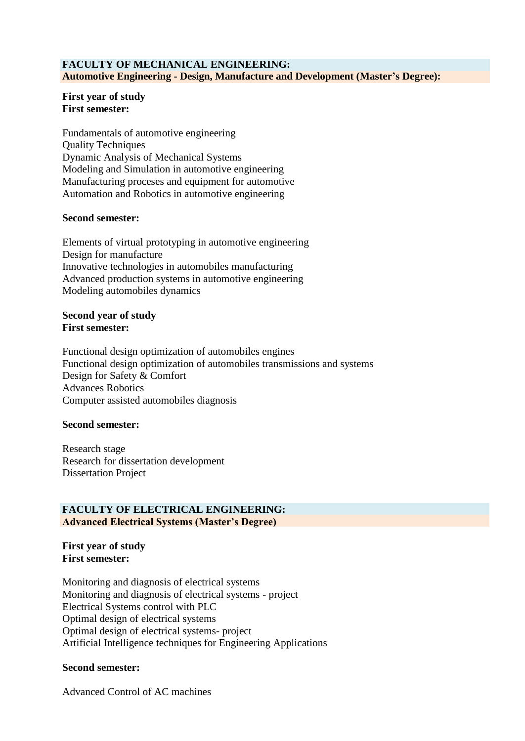# **FACULTY OF MECHANICAL ENGINEERING: Automotive Engineering - Design, Manufacture and Development (Master's Degree):**

#### **First year of study First semester:**

Fundamentals of automotive engineering Quality Techniques Dynamic Analysis of Mechanical Systems Modeling and Simulation in automotive engineering Manufacturing proceses and equipment for automotive Automation and Robotics in automotive engineering

## **Second semester:**

Elements of virtual prototyping in automotive engineering Design for manufacture Innovative technologies in automobiles manufacturing Advanced production systems in automotive engineering Modeling automobiles dynamics

#### **Second year of study First semester:**

Functional design optimization of automobiles engines Functional design optimization of automobiles transmissions and systems Design for Safety & Comfort Advances Robotics Computer assisted automobiles diagnosis

## **Second semester:**

Research stage Research for dissertation development Dissertation Project

## **FACULTY OF ELECTRICAL ENGINEERING: Advanced Electrical Systems (Master's Degree)**

#### **First year of study First semester:**

Monitoring and diagnosis of electrical systems Monitoring and diagnosis of electrical systems - project Electrical Systems control with PLC Optimal design of electrical systems Optimal design of electrical systems- project Artificial Intelligence techniques for Engineering Applications

## **Second semester:**

Advanced Control of AC machines